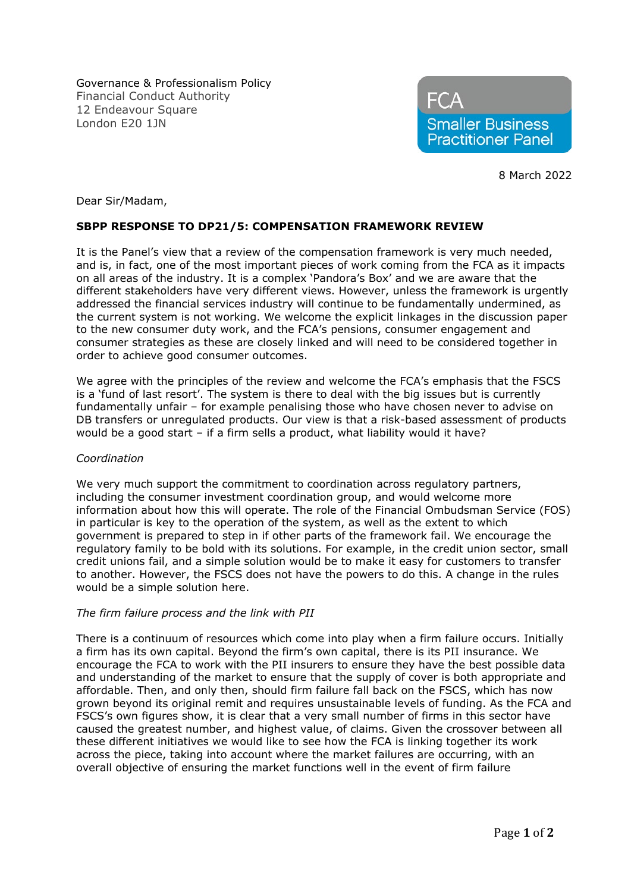Governance & Professionalism Policy Financial Conduct Authority 12 Endeavour Square London E20 1JN



8 March 2022

Dear Sir/Madam,

# **SBPP RESPONSE TO DP21/5: COMPENSATION FRAMEWORK REVIEW**

It is the Panel's view that a review of the compensation framework is very much needed, and is, in fact, one of the most important pieces of work coming from the FCA as it impacts on all areas of the industry. It is a complex 'Pandora's Box' and we are aware that the different stakeholders have very different views. However, unless the framework is urgently addressed the financial services industry will continue to be fundamentally undermined, as the current system is not working. We welcome the explicit linkages in the discussion paper to the new consumer duty work, and the FCA's pensions, consumer engagement and consumer strategies as these are closely linked and will need to be considered together in order to achieve good consumer outcomes.

We agree with the principles of the review and welcome the FCA's emphasis that the FSCS is a 'fund of last resort'. The system is there to deal with the big issues but is currently fundamentally unfair – for example penalising those who have chosen never to advise on DB transfers or unregulated products. Our view is that a risk-based assessment of products would be a good start – if a firm sells a product, what liability would it have?

## *Coordination*

We very much support the commitment to coordination across regulatory partners, including the consumer investment coordination group, and would welcome more information about how this will operate. The role of the Financial Ombudsman Service (FOS) in particular is key to the operation of the system, as well as the extent to which government is prepared to step in if other parts of the framework fail. We encourage the regulatory family to be bold with its solutions. For example, in the credit union sector, small credit unions fail, and a simple solution would be to make it easy for customers to transfer to another. However, the FSCS does not have the powers to do this. A change in the rules would be a simple solution here.

## *The firm failure process and the link with PII*

There is a continuum of resources which come into play when a firm failure occurs. Initially a firm has its own capital. Beyond the firm's own capital, there is its PII insurance. We encourage the FCA to work with the PII insurers to ensure they have the best possible data and understanding of the market to ensure that the supply of cover is both appropriate and affordable. Then, and only then, should firm failure fall back on the FSCS, which has now grown beyond its original remit and requires unsustainable levels of funding. As the FCA and FSCS's own figures show, it is clear that a very small number of firms in this sector have caused the greatest number, and highest value, of claims. Given the crossover between all these different initiatives we would like to see how the FCA is linking together its work across the piece, taking into account where the market failures are occurring, with an overall objective of ensuring the market functions well in the event of firm failure